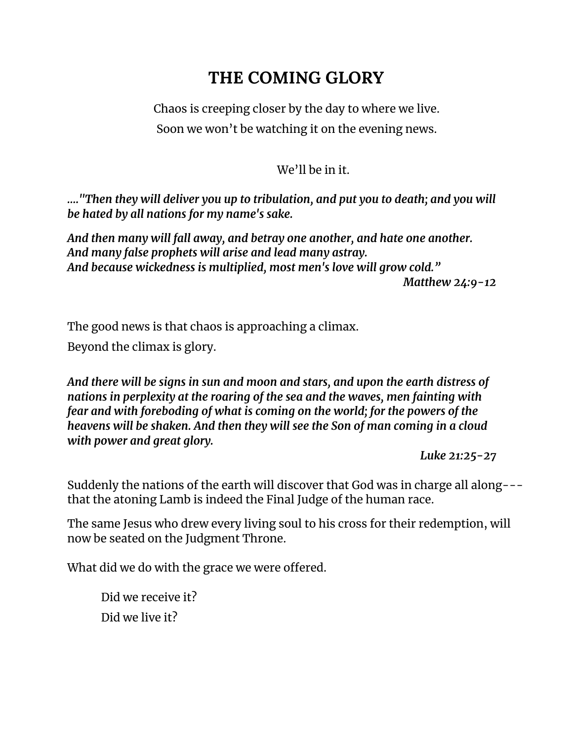# **THE COMING GLORY**

Chaos is creeping closer by the day to where we live. Soon we won't be watching it on the evening news.

# We'll be in it.

*…."Then they will deliver you up to tribulation, and put you to death; and you will be hated by all nations for my name's sake.*

*And then many will fall away, and betray one another, and hate one another. And many false prophets will arise and lead many astray. And because wickedness is multiplied, most men's love will grow cold." Matthew 24:9-12*

The good news is that chaos is approaching a climax.

Beyond the climax is glory.

*And there will be signs in sun and moon and stars, and upon the earth distress of nations in perplexity at the roaring of the sea and the waves, men fainting with fear and with foreboding of what is coming on the world; for the powers of the heavens will be shaken. And then they will see the Son of man coming in a cloud with power and great glory.*

*Luke 21:25-27*

Suddenly the nations of the earth will discover that God was in charge all along-- that the atoning Lamb is indeed the Final Judge of the human race.

The same Jesus who drew every living soul to his cross for their redemption, will now be seated on the Judgment Throne.

What did we do with the grace we were offered.

Did we receive it? Did we live it?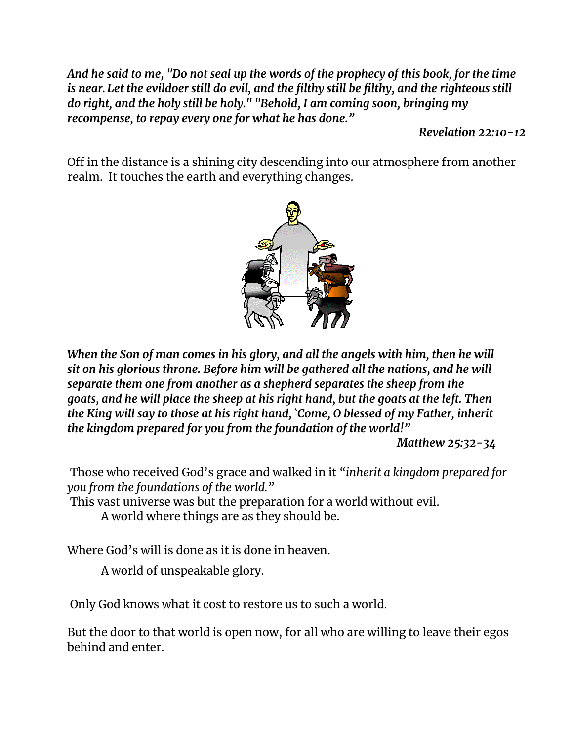And he said to me, "Do not seal up the words of the prophecy of this book, for the time *is near. Let the evildoer still do evil, and the filthy still be filthy, and the righteous still do right, and the holy still be holy." "Behold, I am coming soon, bringing my recompense, to repay every one for what he has done."*

*Revelation 22:10-12*

Off in the distance is a shining city descending into our atmosphere from another realm. It touches the earth and everything changes.



*When the Son of man comes in his glory, and all the angels with him, then he will sit on his glorious throne. Before him will be gathered all the nations, and he will separate them one from another as a shepherd separates the sheep from the goats, and he will place the sheep at his right hand, but the goats at the left. Then the King will say to those at his right hand, `Come, O blessed of my Father, inherit the kingdom prepared for you from the foundation of the world!"*

*Matthew 25:32-34*

Those who received God's grace and walked in it *"inherit a kingdom prepared for you from the foundations of the world."*

This vast universe was but the preparation for a world without evil.

A world where things are as they should be.

Where God's will is done as it is done in heaven.

A world of unspeakable glory.

Only God knows what it cost to restore us to such a world.

But the door to that world is open now, for all who are willing to leave their egos behind and enter.